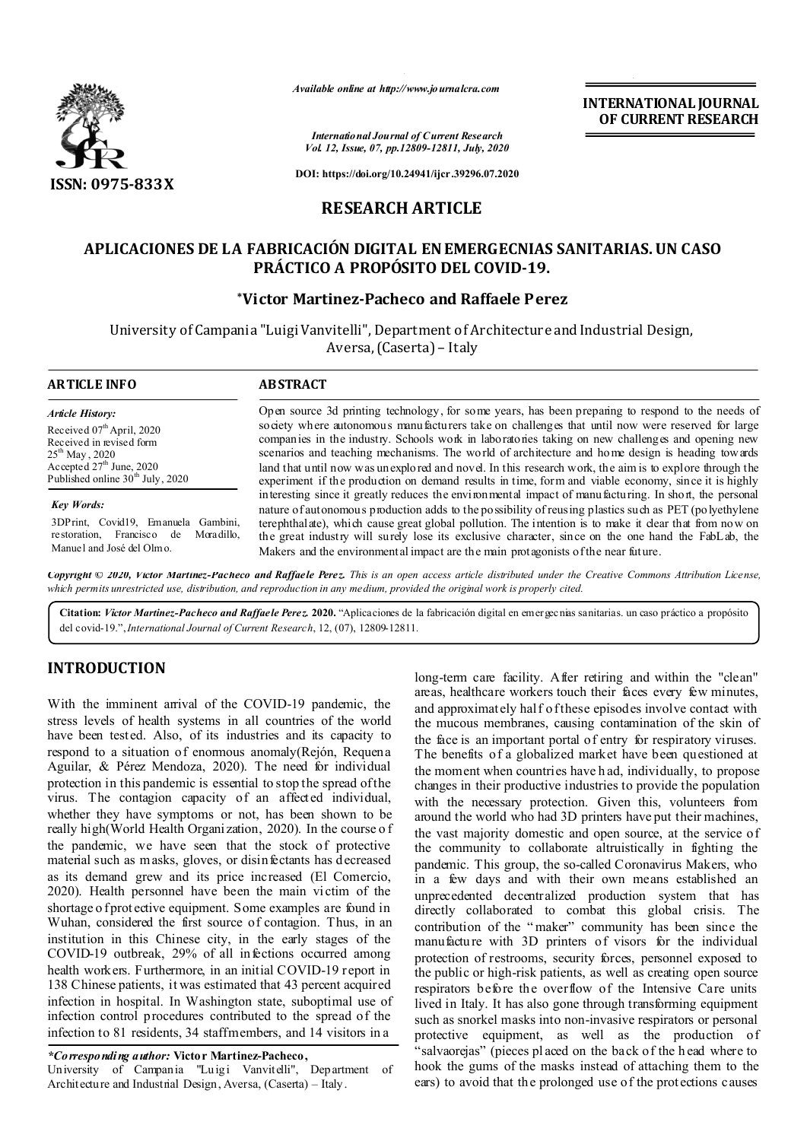

*Available online at http://www.journalcra.com*

*International Journal of Current Research Vol. 12, Issue, 07, pp.12809-12811, July, 2020* **INTERNATIONAL JOURNAL OF CURRENT RESEARCH**

**DOI: https://doi.org/10.24941/ijcr.39296.07.2020**

# **RESEARCH ARTICLE**

## **APLICACIONES DE LA FABRICACIÓN DIGITAL EN EMERGECNIAS SANITARIAS. UN CASO PRÁCTICO A PROPÓSITO DEL COVID-19.**

## **\*Victor Martinez-Pacheco and Raffaele Perez**

University of Campania "Luigi Vanvitelli", Department of Architecture and Industrial Design, Aversa, (Caserta) – Italy

#### **ARTICLE INFO ABSTRACT** Open source 3d printing technology, for some years, has been preparing to respond to the needs of society where autonomous manufacturers take on challenges that until now were reserved for large companies in the industry. Schools work in laboratories taking on new challenges and opening new scenarios and teaching mechanisms. The world of architecture and home design is heading towards *Article History: Article History:* Received 07<sup>th</sup> April, 2020 Received in revised form Received in revised form  $25^{\rm th}$  May , 2020 Accepted  $27<sup>th</sup>$  June, 20 Accepted  $27<sup>th</sup>$  June, 2020

*Key Words: Key Words:*

Published online  $30<sup>th</sup>$  July, 20

Published online 30<sup>th</sup> July, 2020

3DPrint, Covid19, Emanuela Gambini, restoration, Francisco de Moradillo, Manuel and José del Olmo.

land that until now was unexplored and novel. In this research work, the aim is to explore through the experiment if the production on demand results in time, form and viable economy, since it is highly interesting since it greatly reduces the environmental impact of manufacturing. In short, the personal nature of autonomous production adds to the possibility of reusing plastics such as PET (polyethylene terephthalate), which cause great global pollution. The intention is to make it clear that from now on the great industry will surely lose its exclusive character, since on the one hand the FabLab, the Makers and the environmental impact are the main protagonists of the near future.

Copyright © 2020, Victor Martinez-Pacheco and Raffaele Perez. This is an open access article distributed under the Creative Commons Attribution License, which permits unrestricted use, distribution, and reproduction in any medium, provided the original work is properly cited.

**Citation:** *Victor Martinez-Pacheco and Raffaele Perez.* **2020.** "Aplicaciones de la fabricación digital en emergecnias sanitarias. un caso práctico a propósito del covid-19.",*International Journal of Current Research*, 12, (07), 12809-12811.

# **INTRODUCTION**

With the imminent arrival of the COVID-19 pandemic, the stress levels of health systems in all countries of the world have been tested. Also, of its industries and its capacity to respond to a situation of enormous anomaly(Rejón, Requena Aguilar, & Pérez Mendoza, 2020). The need for individual protection in this pandemic is essential to stop the spread of the virus. The contagion capacity of an affected individual, whether they have symptoms or not, has been shown to be really high(World Health Organization, 2020). In the course o f the pandemic, we have seen that the stock of protective material such as masks, gloves, or disinfectants has decreased as its demand grew and its price increased (El Comercio, 2020). Health personnel have been the main victim of the shortage o f protective equipment. Some examples are found in Wuhan, considered the first source of contagion. Thus, in an institution in this Chinese city, in the early stages of the COVID-19 outbreak, 29% of all infections occurred among health workers. Furthermore, in an initial COVID-19 report in 138 Chinese patients, it was estimated that 43 percent acquired infection in hospital. In Washington state, suboptimal use of infection control procedures contributed to the spread of the infection to 81 residents, 34 staffmembers, and 14 visitors in a

*\*Corresponding author:* **Victor Martinez-Pacheco,**

University of Campania "Luigi Vanvitelli", Department of Architecture and Industrial Design, Aversa, (Caserta) – Italy.

long-term care facility. After retiring and within the "clean" areas, healthcare workers touch their faces every few minutes, and approximately half of these episodes involve contact with the mucous membranes, causing contamination of the skin of the face is an important portal of entry for respiratory viruses. The benefits of a globalized market have been questioned at the moment when countries have h ad, individually, to propose changes in their productive industries to provide the population with the necessary protection. Given this, volunteers from around the world who had 3D printers have put their machines, the vast majority domestic and open source, at the service of the community to collaborate altruistically in fighting the pandemic. This group, the so-called Coronavirus Makers, who in a few days and with their own means established an unprecedented decentralized production system that has directly collaborated to combat this global crisis. The contribution of the " maker" community has been since the manufacture with 3D printers of visors for the individual protection of restrooms, security forces, personnel exposed to the public or high-risk patients, as well as creating open source respirators before the overflow of the Intensive Care units lived in Italy. It has also gone through transforming equipment such as snorkel masks into non-invasive respirators or personal protective equipment, as well as the production of 'salvaorejas" (pieces placed on the back of the h ead where to hook the gums of the masks instead of attaching them to the ears) to avoid that the prolonged use of the prot ections causes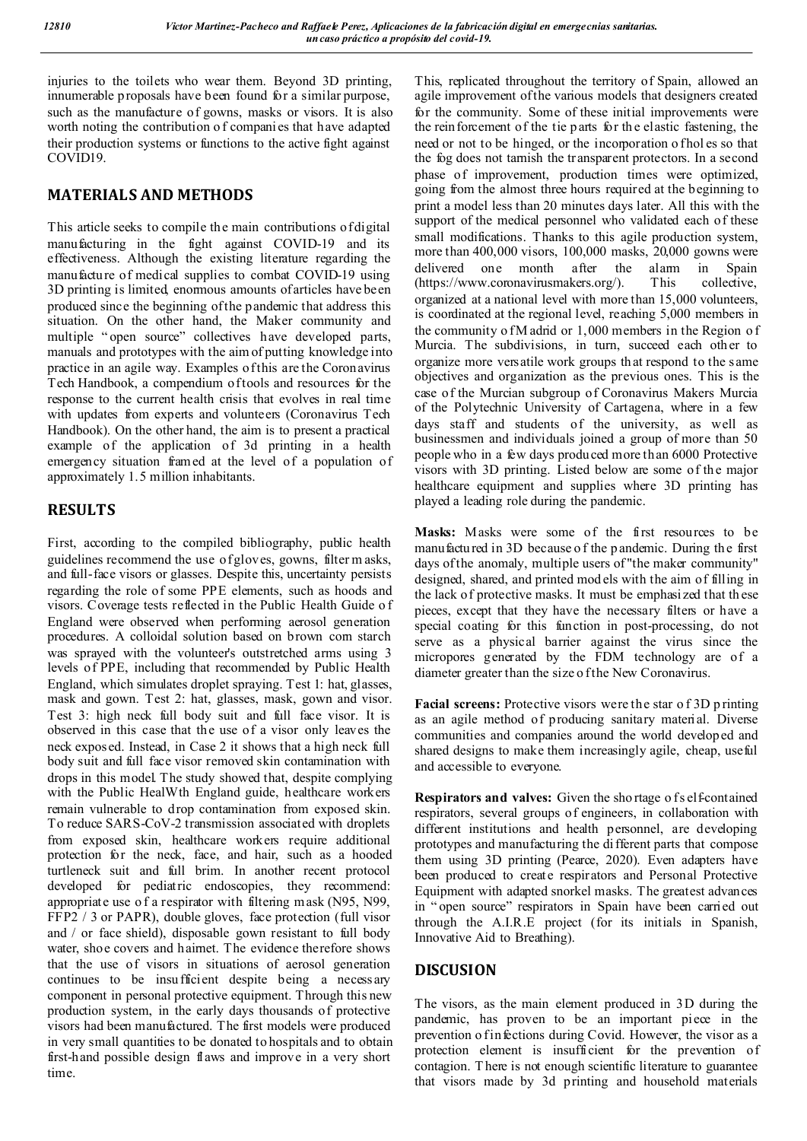injuries to the toilets who wear them. Beyond 3D printing, innumerable p roposals have been found for a similar purpose, such as the manufacture of gowns, masks or visors. It is also worth noting the contribution o f companies that have adapted their production systems or functions to the active fight against COVID19.

# **MATERIALS AND METHODS**

This article seeks to compile the main contributions of digital manufacturing in the fight against COVID-19 and its effectiveness. Although the existing literature regarding the manufacture of medical supplies to combat COVID-19 using 3D printing is limited, enormous amounts of articles have been produced since the beginning of the pandemic that address this situation. On the other hand, the Maker community and multiple " open source" collectives have developed parts, manuals and prototypes with the aim of putting knowledge into practice in an agile way. Examples of this are the Coronavirus Tech Handbook, a compendium of tools and resources for the response to the current health crisis that evolves in real time with updates from experts and volunteers (Coronavirus Tech Handbook). On the other hand, the aim is to present a practical example of the application of 3d printing in a health emergency situation framed at the level of a population of approximately 1.5 million inhabitants.

# **RESULTS**

First, according to the compiled bibliography, public health guidelines recommend the use of gloves, gowns, filter m asks, and full-face visors or glasses. Despite this, uncertainty persists regarding the role of some PPE elements, such as hoods and visors. Coverage tests reflected in the Public Health Guide o f England were observed when performing aerosol generation procedures. A colloidal solution based on brown com starch was sprayed with the volunteer's outstretched arms using 3 levels of PPE, including that recommended by Public Health England, which simulates droplet spraying. Test 1: hat, glasses, mask and gown. Test 2: hat, glasses, mask, gown and visor. Test 3: high neck full body suit and full face visor. It is observed in this case that the use of a visor only leaves the neck exposed. Instead, in Case 2 it shows that a high neck full body suit and full face visor removed skin contamination with drops in this model. The study showed that, despite complying with the Public HealWth England guide, healthcare workers remain vulnerable to drop contamination from exposed skin. To reduce SARS-CoV-2 transmission associated with droplets from exposed skin, healthcare workers require additional protection for the neck, face, and hair, such as a hooded turtleneck suit and full brim. In another recent protocol developed for pediatric endoscopies, they recommend: appropriate use o f a respirator with filtering mask (N95, N99, FFP2 / 3 or PAPR), double gloves, face protection (full visor and / or face shield), disposable gown resistant to full body water, shoe covers and hairnet. The evidence therefore shows that the use of visors in situations of aerosol generation continues to be insu fficient despite being a necessary component in personal protective equipment. Through this new production system, in the early days thousands of protective visors had been manufactured. The first models were produced in very small quantities to be donated to hospitals and to obtain first-hand possible design flaws and improve in a very short time.

This, replicated throughout the territory of Spain, allowed an agile improvement of the various models that designers created for the community. Some of these initial improvements were the reinforcement of the tie parts for the elastic fastening, the need or not to be hinged, or the incorporation o fholes so that the fog does not tarnish the transparent protectors. In a second phase of improvement, production times were optimized, going from the almost three hours required at the beginning to print a model less than 20 minutes days later. All this with the support of the medical personnel who validated each of these small modifications. Thanks to this agile production system, more than 400,000 visors, 100,000 masks, 20,000 gowns were delivered one month after the alarm in Spain (https://www.coronavirusmakers.org/). This collective, organized at a national level with more than 15,000 volunteers, is coordinated at the regional level, reaching 5,000 members in the community of M adrid or  $1,000$  members in the Region of Murcia. The subdivisions, in turn, succeed each other to organize more versatile work groups that respond to the same objectives and organization as the previous ones. This is the case of the Murcian subgroup of Coronavirus Makers Murcia of the Polytechnic University of Cartagena, where in a few days staff and students of the university, as well as businessmen and individuals joined a group of more than 50 people who in a few days produced more than 6000 Protective visors with 3D printing. Listed below are some of the major healthcare equipment and supplies where 3D printing has played a leading role during the pandemic.

**Masks:** Masks were some of the first resources to be manufactured in 3D because o f the p andemic. During the first days of the anomaly, multiple users of "the maker community" designed, shared, and printed mod els with the aim of filling in the lack of protective masks. It must be emphasi zed that th ese pieces, except that they have the necessary filters or have a special coating for this function in post-processing, do not serve as a physical barrier against the virus since the micropores generated by the FDM technology are of a diameter greater than the size o f the New Coronavirus.

Facial screens: Protective visors were the star of 3D printing as an agile method of producing sanitary material. Diverse communities and companies around the world developed and shared designs to make them increasingly agile, cheap, useful and accessible to everyone.

**Respirators and valves:** Given the shortage of s elf-contained respirators, several groups of engineers, in collaboration with different institutions and health personnel, are developing prototypes and manufacturing the di fferent parts that compose them using 3D printing (Pearce, 2020). Even adapters have been produced to create respirators and Personal Protective Equipment with adapted snorkel masks. The greatest advances in " open source" respirators in Spain have been carried out through the A.I.R.E project (for its initials in Spanish, Innovative Aid to Breathing).

# **DISCUSION**

The visors, as the main element produced in 3D during the pandemic, has proven to be an important piece in the prevention o f infections during Covid. However, the visor as a protection element is insufficient for the prevention of contagion. T here is not enough scientific literature to guarantee that visors made by 3d printing and household materials